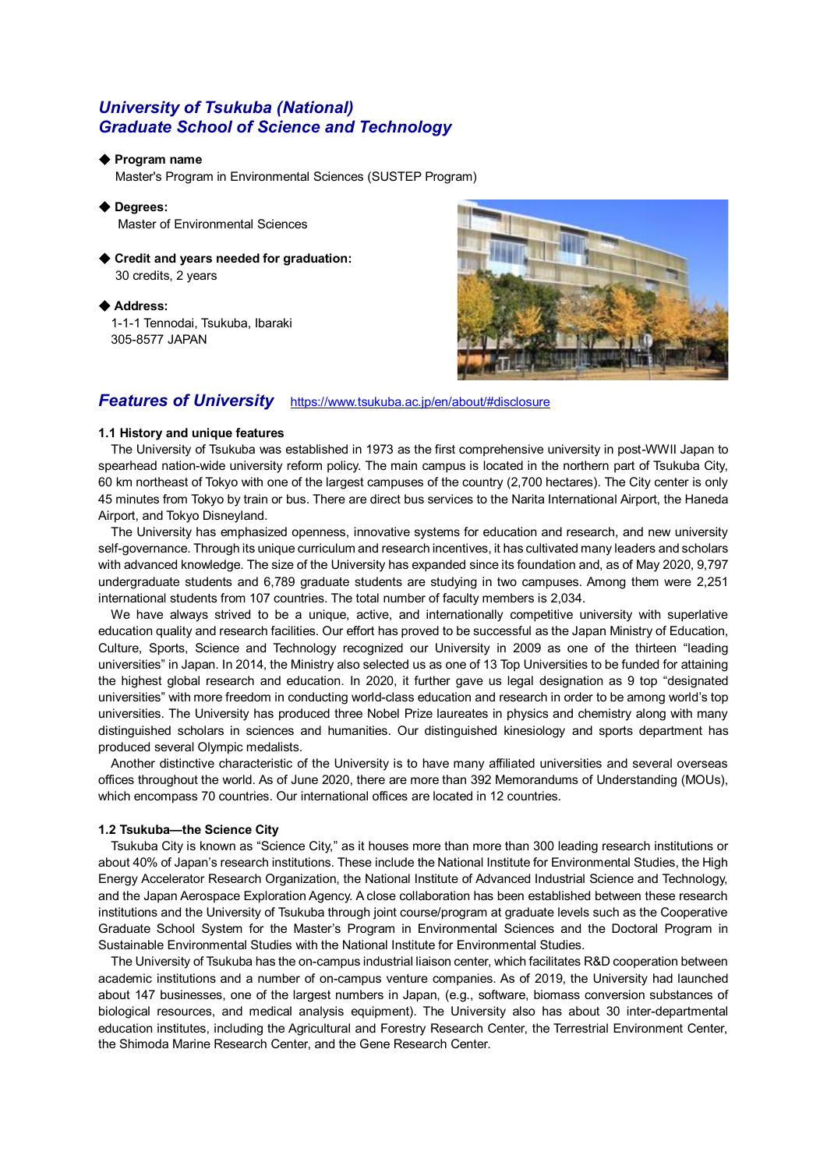# *University of Tsukuba (National) Graduate School of Science and Technology*

#### ◆ **Program name**

Master's Program in Environmental Sciences (SUSTEP Program)

- ◆ **Degrees:** Master of Environmental Sciences
- ◆ Credit and years needed for graduation: 30 credits, 2 years

◆ **Address:** 1-1-1 Tennodai, Tsukuba, Ibaraki 305-8577 JAPAN



## *Features of University* <https://www.tsukuba.ac.jp/en/about/#disclosure>

### **1.1 History and unique features**

The University of Tsukuba was established in 1973 as the first comprehensive university in post-WWII Japan to spearhead nation-wide university reform policy. The main campus is located in the northern part of Tsukuba City, 60 km northeast of Tokyo with one of the largest campuses of the country (2,700 hectares). The City center is only 45 minutes from Tokyo by train or bus. There are direct bus services to the Narita International Airport, the Haneda Airport, and Tokyo Disneyland.

The University has emphasized openness, innovative systems for education and research, and new university self-governance. Through its unique curriculum and research incentives, it has cultivated many leaders and scholars with advanced knowledge. The size of the University has expanded since its foundation and, as of May 2020, 9,797 undergraduate students and 6,789 graduate students are studying in two campuses. Among them were 2,251 international students from 107 countries. The total number of faculty members is 2,034.

We have always strived to be a unique, active, and internationally competitive university with superlative education quality and research facilities. Our effort has proved to be successful as the Japan Ministry of Education, Culture, Sports, Science and Technology recognized our University in 2009 as one of the thirteen "leading universities" in Japan. In 2014, the Ministry also selected us as one of 13 Top Universities to be funded for attaining the highest global research and education. In 2020, it further gave us legal designation as 9 top "designated universities" with more freedom in conducting world-class education and research in order to be among world's top universities. The University has produced three Nobel Prize laureates in physics and chemistry along with many distinguished scholars in sciences and humanities. Our distinguished kinesiology and sports department has produced several Olympic medalists.

Another distinctive characteristic of the University is to have many affiliated universities and several overseas offices throughout the world. As of June 2020, there are more than 392 Memorandums of Understanding (MOUs), which encompass 70 countries. Our international offices are located in 12 countries.

### **1.2 Tsukuba—the Science City**

Tsukuba City is known as "Science City," as it houses more than more than 300 leading research institutions or about 40% of Japan's research institutions. These include the National Institute for Environmental Studies, the High Energy Accelerator Research Organization, the National Institute of Advanced Industrial Science and Technology, and the Japan Aerospace Exploration Agency. A close collaboration has been established between these research institutions and the University of Tsukuba through joint course/program at graduate levels such as the Cooperative Graduate School System for the Master's Program in Environmental Sciences and the Doctoral Program in Sustainable Environmental Studies with the National Institute for Environmental Studies.

The University of Tsukuba has the on-campus industrial liaison center, which facilitates R&D cooperation between academic institutions and a number of on-campus venture companies. As of 2019, the University had launched about 147 businesses, one of the largest numbers in Japan, (e.g., software, biomass conversion substances of biological resources, and medical analysis equipment). The University also has about 30 inter-departmental education institutes, including the Agricultural and Forestry Research Center, the Terrestrial Environment Center, the Shimoda Marine Research Center, and the Gene Research Center.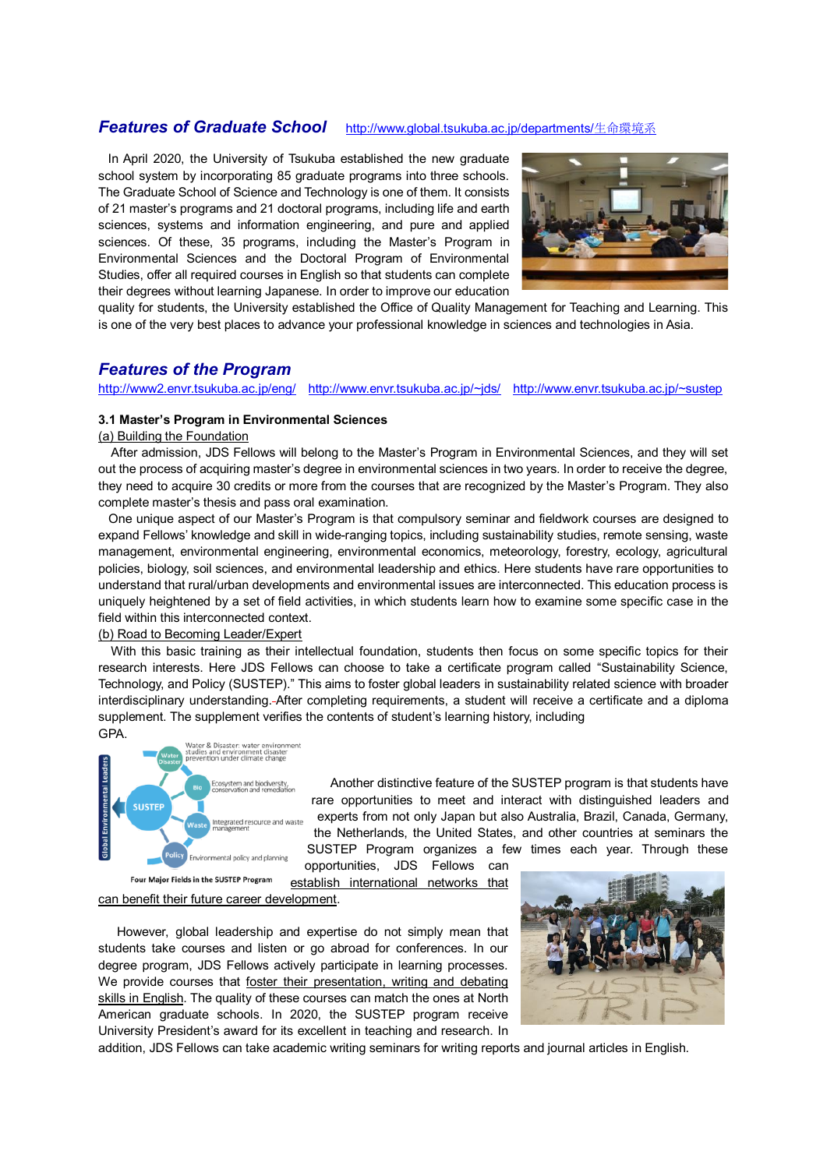### *Features of Graduate School* [http://www.global.tsukuba.ac.jp/departments/](http://www.global.tsukuba.ac.jp/departments/生命環境系)生命環境系

In April 2020, the University of Tsukuba established the new graduate school system by incorporating 85 graduate programs into three schools. The Graduate School of Science and Technology is one of them. It consists of 21 master's programs and 21 doctoral programs, including life and earth sciences, systems and information engineering, and pure and applied sciences. Of these, 35 programs, including the Master's Program in Environmental Sciences and the Doctoral Program of Environmental Studies, offer all required courses in English so that students can complete their degrees without learning Japanese. In order to improve our education



quality for students, the University established the Office of Quality Management for Teaching and Learning. This is one of the very best places to advance your professional knowledge in sciences and technologies in Asia.

### *Features of the Program*

### <http://www2.envr.tsukuba.ac.jp/eng/> <http://www.envr.tsukuba.ac.jp/~jds/><http://www.envr.tsukuba.ac.jp/~sustep>

#### **3.1 Master's Program in Environmental Sciences**

(a) Building the Foundation

After admission, JDS Fellows will belong to the Master's Program in Environmental Sciences, and they will set out the process of acquiring master's degree in environmental sciences in two years. In order to receive the degree, they need to acquire 30 credits or more from the courses that are recognized by the Master's Program. They also complete master's thesis and pass oral examination.

One unique aspect of our Master's Program is that compulsory seminar and fieldwork courses are designed to expand Fellows' knowledge and skill in wide-ranging topics, including sustainability studies, remote sensing, waste management, environmental engineering, environmental economics, meteorology, forestry, ecology, agricultural policies, biology, soil sciences, and environmental leadership and ethics. Here students have rare opportunities to understand that rural/urban developments and environmental issues are interconnected. This education process is uniquely heightened by a set of field activities, in which students learn how to examine some specific case in the field within this interconnected context.

### (b) Road to Becoming Leader/Expert

With this basic training as their intellectual foundation, students then focus on some specific topics for their research interests. Here JDS Fellows can choose to take a certificate program called "Sustainability Science, Technology, and Policy (SUSTEP)." This aims to foster global leaders in sustainability related science with broader interdisciplinary understanding. After completing requirements, a student will receive a certificate and a diploma supplement. The supplement verifies the contents of student's learning history, including GPA.



 Another distinctive feature of the SUSTEP program is that students have rare opportunities to meet and interact with distinguished leaders and experts from not only Japan but also Australia, Brazil, Canada, Germany, the Netherlands, the United States, and other countries at seminars the SUSTEP Program organizes a few times each year. Through these

opportunities, JDS Fellows can establish international networks that

Four Major Fields in the SUSTEP Program can benefit their future career development.

However, global leadership and expertise do not simply mean that students take courses and listen or go abroad for conferences. In our degree program, JDS Fellows actively participate in learning processes. We provide courses that foster their presentation, writing and debating skills in English. The quality of these courses can match the ones at North American graduate schools. In 2020, the SUSTEP program receive University President's award for its excellent in teaching and research. In



addition, JDS Fellows can take academic writing seminars for writing reports and journal articles in English.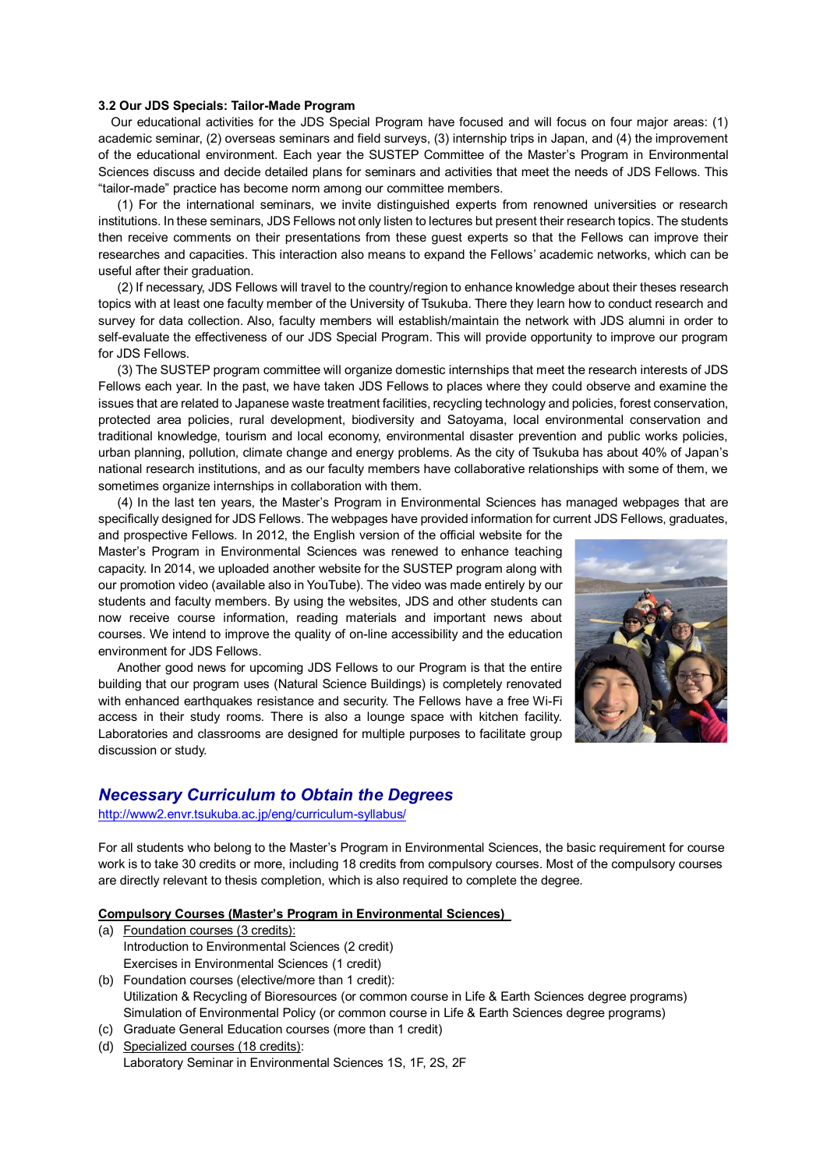### **3.2 Our JDS Specials: Tailor-Made Program**

Our educational activities for the JDS Special Program have focused and will focus on four major areas: (1) academic seminar, (2) overseas seminars and field surveys, (3) internship trips in Japan, and (4) the improvement of the educational environment. Each year the SUSTEP Committee of the Master's Program in Environmental Sciences discuss and decide detailed plans for seminars and activities that meet the needs of JDS Fellows. This "tailor-made" practice has become norm among our committee members.

(1) For the international seminars, we invite distinguished experts from renowned universities or research institutions. In these seminars, JDS Fellows not only listen to lectures but present their research topics. The students then receive comments on their presentations from these guest experts so that the Fellows can improve their researches and capacities. This interaction also means to expand the Fellows' academic networks, which can be useful after their graduation.

(2) If necessary, JDS Fellows will travel to the country/region to enhance knowledge about their theses research topics with at least one faculty member of the University of Tsukuba. There they learn how to conduct research and survey for data collection. Also, faculty members will establish/maintain the network with JDS alumni in order to self-evaluate the effectiveness of our JDS Special Program. This will provide opportunity to improve our program for JDS Fellows.

 (3) The SUSTEP program committee will organize domestic internships that meet the research interests of JDS Fellows each year. In the past, we have taken JDS Fellows to places where they could observe and examine the issues that are related to Japanese waste treatment facilities, recycling technology and policies, forest conservation, protected area policies, rural development, biodiversity and Satoyama, local environmental conservation and traditional knowledge, tourism and local economy, environmental disaster prevention and public works policies, urban planning, pollution, climate change and energy problems. As the city of Tsukuba has about 40% of Japan's national research institutions, and as our faculty members have collaborative relationships with some of them, we sometimes organize internships in collaboration with them.

 (4) In the last ten years, the Master's Program in Environmental Sciences has managed webpages that are specifically designed for JDS Fellows. The webpages have provided information for current JDS Fellows, graduates,

and prospective Fellows. In 2012, the English version of the official website for the Master's Program in Environmental Sciences was renewed to enhance teaching capacity. In 2014, we uploaded another website for the SUSTEP program along with our promotion video (available also in YouTube). The video was made entirely by our students and faculty members. By using the websites, JDS and other students can now receive course information, reading materials and important news about courses. We intend to improve the quality of on-line accessibility and the education environment for JDS Fellows.

 Another good news for upcoming JDS Fellows to our Program is that the entire building that our program uses (Natural Science Buildings) is completely renovated with enhanced earthquakes resistance and security. The Fellows have a free Wi-Fi access in their study rooms. There is also a lounge space with kitchen facility. Laboratories and classrooms are designed for multiple purposes to facilitate group discussion or study.



### *Necessary Curriculum to Obtain the Degrees*

<http://www2.envr.tsukuba.ac.jp/eng/curriculum-syllabus/>

For all students who belong to the Master's Program in Environmental Sciences, the basic requirement for course work is to take 30 credits or more, including 18 credits from compulsory courses. Most of the compulsory courses are directly relevant to thesis completion, which is also required to complete the degree.

**Compulsory Courses (Master's Program in Environmental Sciences)** 

- (a) Foundation courses (3 credits): Introduction to Environmental Sciences (2 credit) Exercises in Environmental Sciences (1 credit)
- (b) Foundation courses (elective/more than 1 credit): Utilization & Recycling of Bioresources (or common course in Life & Earth Sciences degree programs) Simulation of Environmental Policy (or common course in Life & Earth Sciences degree programs)
- (c) Graduate General Education courses (more than 1 credit)
- (d) Specialized courses (18 credits): Laboratory Seminar in Environmental Sciences 1S, 1F, 2S, 2F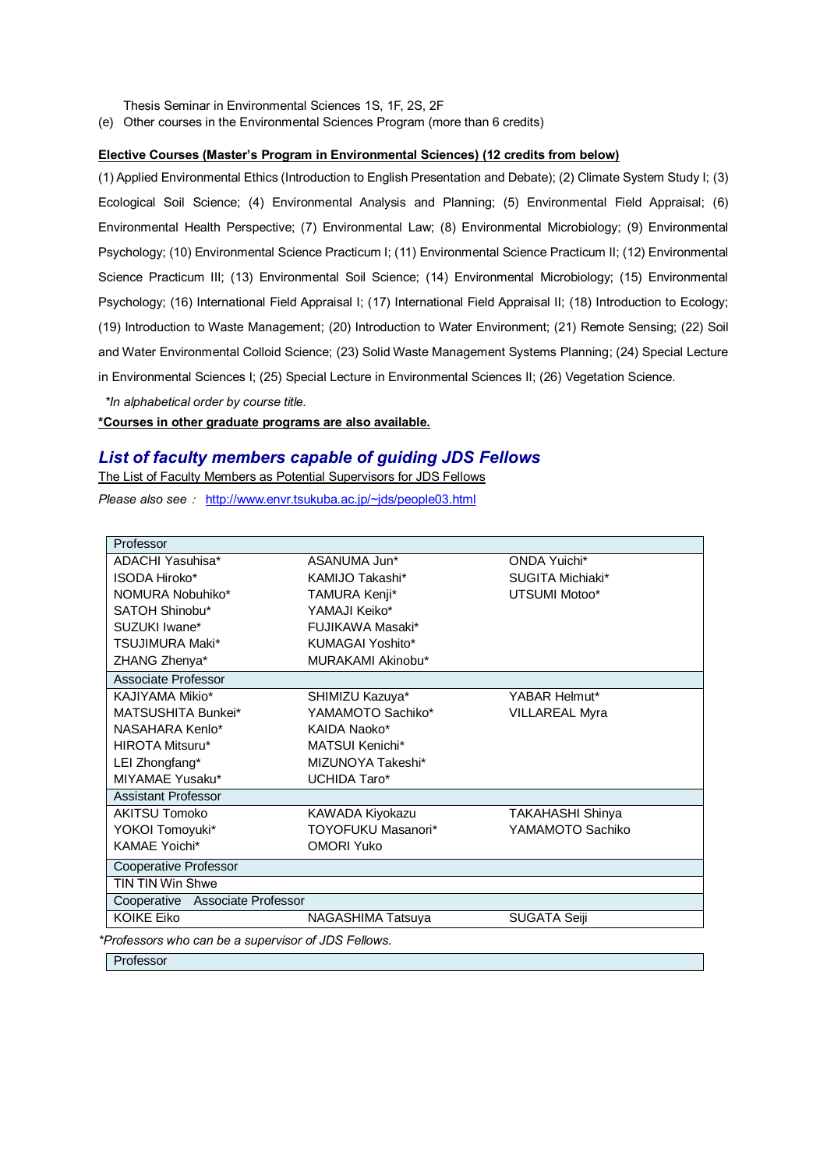Thesis Seminar in Environmental Sciences 1S, 1F, 2S, 2F

(e) Other courses in the Environmental Sciences Program (more than 6 credits)

### **Elective Courses (Master's Program in Environmental Sciences) (12 credits from below)**

(1) Applied Environmental Ethics (Introduction to English Presentation and Debate); (2) Climate System Study I; (3) Ecological Soil Science; (4) Environmental Analysis and Planning; (5) Environmental Field Appraisal; (6) Environmental Health Perspective; (7) Environmental Law; (8) Environmental Microbiology; (9) Environmental Psychology; (10) Environmental Science Practicum I; (11) Environmental Science Practicum II; (12) Environmental Science Practicum III; (13) Environmental Soil Science; (14) Environmental Microbiology; (15) Environmental Psychology; (16) International Field Appraisal I; (17) International Field Appraisal II; (18) Introduction to Ecology; (19) Introduction to Waste Management; (20) Introduction to Water Environment; (21) Remote Sensing; (22) Soil and Water Environmental Colloid Science; (23) Solid Waste Management Systems Planning; (24) Special Lecture in Environmental Sciences I; (25) Special Lecture in Environmental Sciences II; (26) Vegetation Science.

*\*In alphabetical order by course title.*

### **\*Courses in other graduate programs are also available.**

### *List of faculty members capable of guiding JDS Fellows*

The List of Faculty Members as Potential Supervisors for JDS Fellows

*Please also see*: <http://www.envr.tsukuba.ac.jp/~jds/people03.html>

| Professor                                         |                    |                         |  |
|---------------------------------------------------|--------------------|-------------------------|--|
| ADACHI Yasuhisa*                                  | ASANUMA Jun*       | ONDA Yuichi*            |  |
| <b>ISODA Hiroko*</b>                              | KAMIJO Takashi*    | SUGITA Michiaki*        |  |
| NOMURA Nobuhiko*                                  | TAMURA Kenji*      | UTSUMI Motoo*           |  |
| SATOH Shinobu*                                    | YAMAJI Keiko*      |                         |  |
| SUZUKI Iwane*                                     | FUJIKAWA Masaki*   |                         |  |
| <b>TSUJIMURA Maki*</b>                            | KUMAGAI Yoshito*   |                         |  |
| ZHANG Zhenya*                                     | MURAKAMI Akinobu*  |                         |  |
| Associate Professor                               |                    |                         |  |
| KAJIYAMA Mikio*                                   | SHIMIZU Kazuya*    | YABAR Helmut*           |  |
| MATSUSHITA Bunkei*                                | YAMAMOTO Sachiko*  | <b>VILLAREAL Myra</b>   |  |
| NASAHARA Kenlo*                                   | KAIDA Naoko*       |                         |  |
| <b>HIROTA Mitsuru*</b>                            | MATSUI Kenichi*    |                         |  |
| LEI Zhongfang*                                    | MIZUNOYA Takeshi*  |                         |  |
| MIYAMAE Yusaku*                                   | UCHIDA Taro*       |                         |  |
| Assistant Professor                               |                    |                         |  |
| <b>AKITSU Tomoko</b>                              | KAWADA Kiyokazu    | <b>TAKAHASHI Shinya</b> |  |
| YOKOI Tomoyuki*                                   | TOYOFUKU Masanori* | YAMAMOTO Sachiko        |  |
| <b>KAMAE Yoichi*</b>                              | <b>OMORI Yuko</b>  |                         |  |
| Cooperative Professor                             |                    |                         |  |
| <b>TIN TIN Win Shwe</b>                           |                    |                         |  |
| Cooperative Associate Professor                   |                    |                         |  |
| <b>KOIKE Eiko</b>                                 | NAGASHIMA Tatsuya  | SUGATA Seiji            |  |
| Professore who can be a supervisor of IDS Follows |                    |                         |  |

*\*Professors who can be a supervisor of JDS Fellows.*

Professor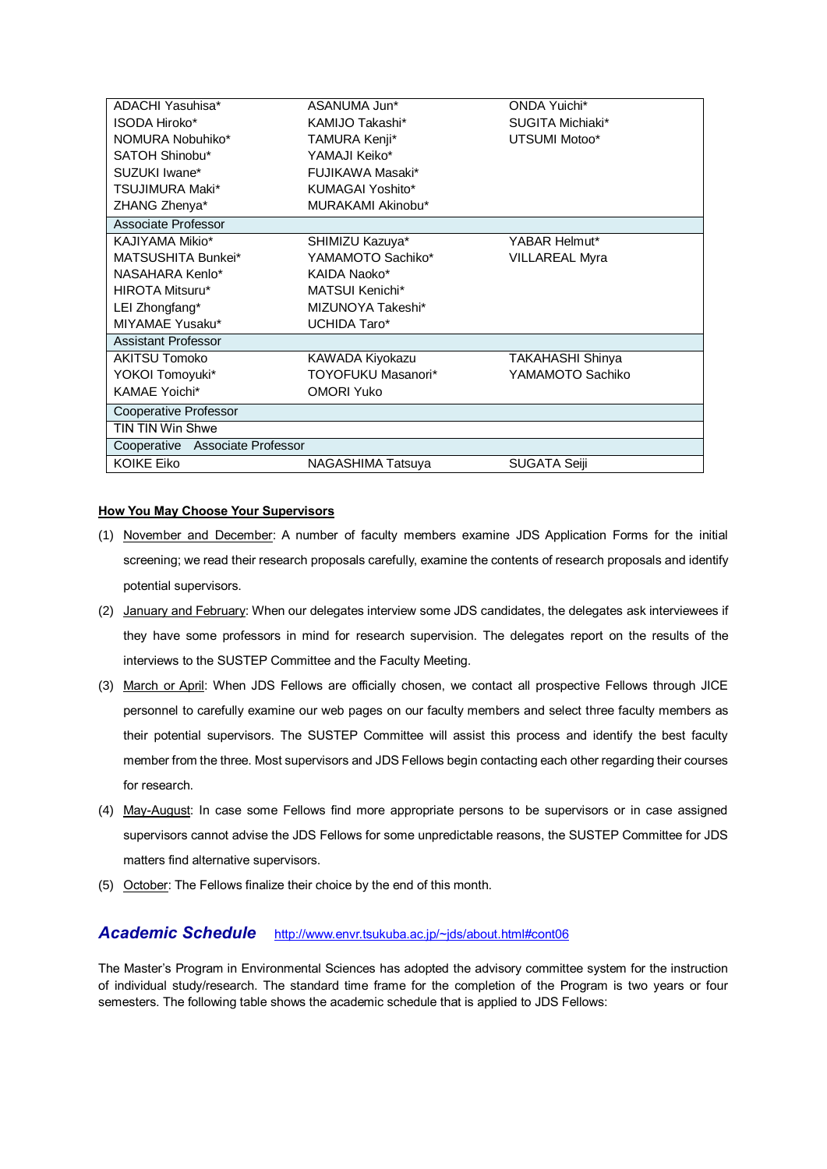| ADACHI Yasuhisa*                | ASANUMA Jun*              | <b>ONDA Yuichi*</b>     |  |
|---------------------------------|---------------------------|-------------------------|--|
| <b>ISODA Hiroko*</b>            | KAMIJO Takashi*           | SUGITA Michiaki*        |  |
| NOMURA Nobuhiko*                | TAMURA Kenji*             | UTSUMI Motoo*           |  |
| SATOH Shinobu*                  | YAMAJI Keiko*             |                         |  |
| SUZUKI Iwane*                   | <b>FUJIKAWA Masaki*</b>   |                         |  |
| <b>TSUJIMURA Maki*</b>          | KUMAGAI Yoshito*          |                         |  |
| ZHANG Zhenya*                   | MURAKAMI Akinobu*         |                         |  |
| Associate Professor             |                           |                         |  |
| KAJIYAMA Mikio*                 | SHIMIZU Kazuya*           | YABAR Helmut*           |  |
| MATSUSHITA Bunkei*              | YAMAMOTO Sachiko*         | <b>VILLAREAL Myra</b>   |  |
| NASAHARA Kenlo*                 | KAIDA Naoko*              |                         |  |
| HIROTA Mitsuru*                 | MATSUI Kenichi*           |                         |  |
| LEI Zhongfang*                  | MIZUNOYA Takeshi*         |                         |  |
| MIYAMAE Yusaku*                 | UCHIDA Taro*              |                         |  |
| Assistant Professor             |                           |                         |  |
| <b>AKITSU Tomoko</b>            | KAWADA Kiyokazu           | <b>TAKAHASHI Shinya</b> |  |
| YOKOI Tomoyuki*                 | <b>TOYOFUKU Masanori*</b> | YAMAMOTO Sachiko        |  |
| <b>KAMAE Yoichi*</b>            | <b>OMORI Yuko</b>         |                         |  |
| Cooperative Professor           |                           |                         |  |
| <b>TIN TIN Win Shwe</b>         |                           |                         |  |
| Cooperative Associate Professor |                           |                         |  |
| <b>KOIKE Eiko</b>               | NAGASHIMA Tatsuya         | <b>SUGATA Seiji</b>     |  |
|                                 |                           |                         |  |

### **How You May Choose Your Supervisors**

- (1) November and December: A number of faculty members examine JDS Application Forms for the initial screening; we read their research proposals carefully, examine the contents of research proposals and identify potential supervisors.
- (2) January and February: When our delegates interview some JDS candidates, the delegates ask interviewees if they have some professors in mind for research supervision. The delegates report on the results of the interviews to the SUSTEP Committee and the Faculty Meeting.
- (3) March or April: When JDS Fellows are officially chosen, we contact all prospective Fellows through JICE personnel to carefully examine our web pages on our faculty members and select three faculty members as their potential supervisors. The SUSTEP Committee will assist this process and identify the best faculty member from the three. Most supervisors and JDS Fellows begin contacting each other regarding their courses for research.
- (4) May-August: In case some Fellows find more appropriate persons to be supervisors or in case assigned supervisors cannot advise the JDS Fellows for some unpredictable reasons, the SUSTEP Committee for JDS matters find alternative supervisors.
- (5) October: The Fellows finalize their choice by the end of this month.

## *Academic Schedule* [http://www.envr.tsukuba.ac.jp/~jds/about.html#cont06](http://www.envr.tsukuba.ac.jp/~jds/about.html%23cont06)

The Master's Program in Environmental Sciences has adopted the advisory committee system for the instruction of individual study/research. The standard time frame for the completion of the Program is two years or four semesters. The following table shows the academic schedule that is applied to JDS Fellows: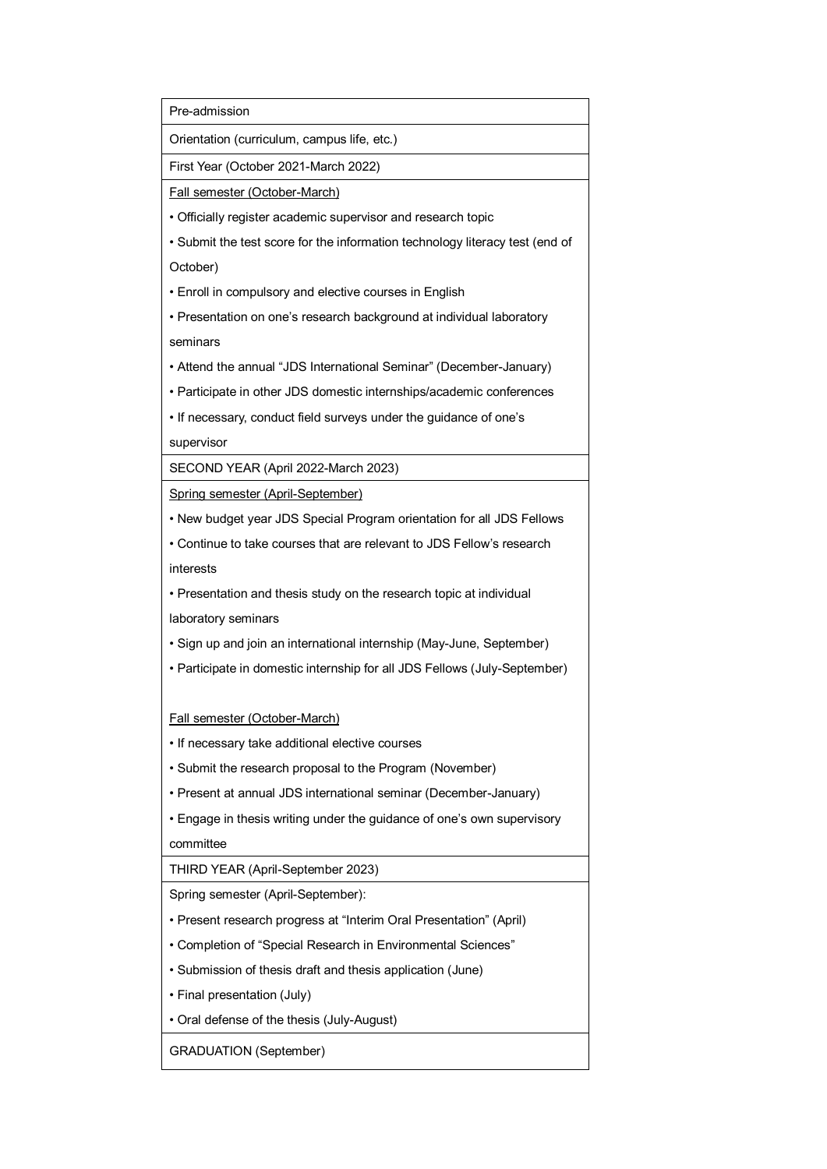Pre-admission

Orientation (curriculum, campus life, etc.)

First Year (October 2021-March 2022)

Fall semester (October-March)

• Officially register academic supervisor and research topic

• Submit the test score for the information technology literacy test (end of

October)

• Enroll in compulsory and elective courses in English

• Presentation on one's research background at individual laboratory seminars

• Attend the annual "JDS International Seminar" (December-January)

• Participate in other JDS domestic internships/academic conferences

• If necessary, conduct field surveys under the guidance of one's

supervisor

SECOND YEAR (April 2022-March 2023)

Spring semester (April-September)

• New budget year JDS Special Program orientation for all JDS Fellows

• Continue to take courses that are relevant to JDS Fellow's research interests

• Presentation and thesis study on the research topic at individual

laboratory seminars

• Sign up and join an international internship (May-June, September)

• Participate in domestic internship for all JDS Fellows (July-September)

### Fall semester (October-March)

• If necessary take additional elective courses

• Submit the research proposal to the Program (November)

• Present at annual JDS international seminar (December-January)

• Engage in thesis writing under the guidance of one's own supervisory

committee

THIRD YEAR (April-September 2023)

Spring semester (April-September):

• Present research progress at "Interim Oral Presentation" (April)

• Completion of "Special Research in Environmental Sciences"

• Submission of thesis draft and thesis application (June)

• Final presentation (July)

• Oral defense of the thesis (July-August)

GRADUATION (September)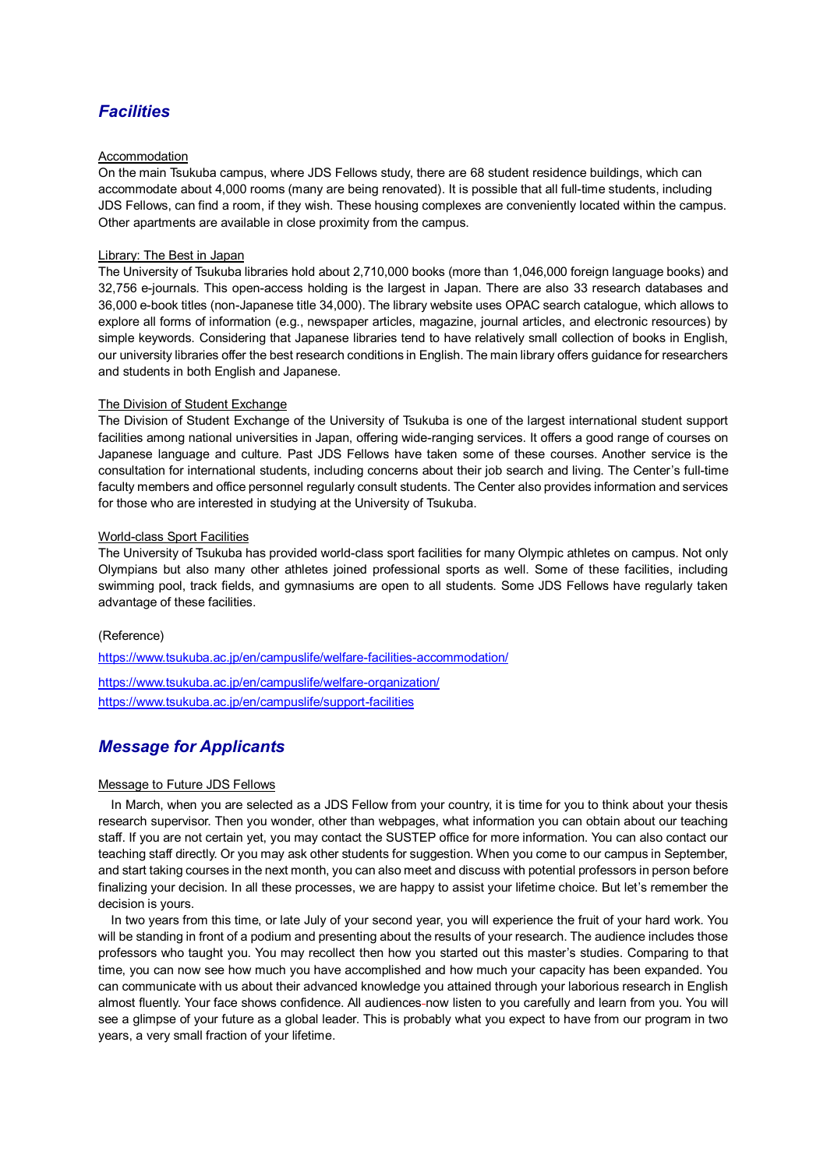# *Facilities*

#### Accommodation

On the main Tsukuba campus, where JDS Fellows study, there are 68 student residence buildings, which can accommodate about 4,000 rooms (many are being renovated). It is possible that all full-time students, including JDS Fellows, can find a room, if they wish. These housing complexes are conveniently located within the campus. Other apartments are available in close proximity from the campus.

#### Library: The Best in Japan

The University of Tsukuba libraries hold about 2,710,000 books (more than 1,046,000 foreign language books) and 32,756 e-journals. This open-access holding is the largest in Japan. There are also 33 research databases and 36,000 e-book titles (non-Japanese title 34,000). The library website uses OPAC search catalogue, which allows to explore all forms of information (e.g., newspaper articles, magazine, journal articles, and electronic resources) by simple keywords. Considering that Japanese libraries tend to have relatively small collection of books in English, our university libraries offer the best research conditions in English. The main library offers guidance for researchers and students in both English and Japanese.

#### The Division of Student Exchange

The Division of Student Exchange of the University of Tsukuba is one of the largest international student support facilities among national universities in Japan, offering wide-ranging services. It offers a good range of courses on Japanese language and culture. Past JDS Fellows have taken some of these courses. Another service is the consultation for international students, including concerns about their job search and living. The Center's full-time faculty members and office personnel regularly consult students. The Center also provides information and services for those who are interested in studying at the University of Tsukuba.

#### World-class Sport Facilities

The University of Tsukuba has provided world-class sport facilities for many Olympic athletes on campus. Not only Olympians but also many other athletes joined professional sports as well. Some of these facilities, including swimming pool, track fields, and gymnasiums are open to all students. Some JDS Fellows have regularly taken advantage of these facilities.

#### (Reference)

<https://www.tsukuba.ac.jp/en/campuslife/welfare-facilities-accommodation/> <https://www.tsukuba.ac.jp/en/campuslife/welfare-organization/> https://www.tsukuba.ac.jp/en/campuslife/support-facilities

# *Message for Applicants*

### Message to Future JDS Fellows

In March, when you are selected as a JDS Fellow from your country, it is time for you to think about your thesis research supervisor. Then you wonder, other than webpages, what information you can obtain about our teaching staff. If you are not certain yet, you may contact the SUSTEP office for more information. You can also contact our teaching staff directly. Or you may ask other students for suggestion. When you come to our campus in September, and start taking courses in the next month, you can also meet and discuss with potential professors in person before finalizing your decision. In all these processes, we are happy to assist your lifetime choice. But let's remember the decision is yours.

In two years from this time, or late July of your second year, you will experience the fruit of your hard work. You will be standing in front of a podium and presenting about the results of your research. The audience includes those professors who taught you. You may recollect then how you started out this master's studies. Comparing to that time, you can now see how much you have accomplished and how much your capacity has been expanded. You can communicate with us about their advanced knowledge you attained through your laborious research in English almost fluently. Your face shows confidence. All audiences now listen to you carefully and learn from you. You will see a glimpse of your future as a global leader. This is probably what you expect to have from our program in two years, a very small fraction of your lifetime.